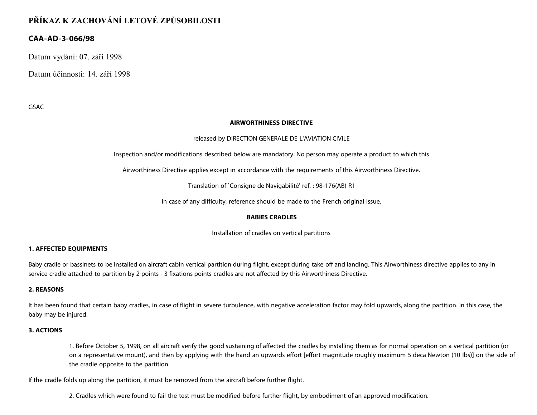# **PŘÍKAZ K ZACHOVÁNÍ LETOVÉ ZPŮSOBILOSTI**

## **CAA-AD-3-066/98**

Datum vydání: 07. září 1998

Datum účinnosti: 14. září 1998

GSAC

#### **AIRWORTHINESS DIRECTIVE**

#### released by DIRECTION GENERALE DE L'AVIATION CIVILE

Inspection and/or modifications described below are mandatory. No person may operate a product to which this

Airworthiness Directive applies except in accordance with the requirements of this Airworthiness Directive.

Translation of `Consigne de Navigabilité' ref. : 98-176(AB) R1

In case of any difficulty, reference should be made to the French original issue.

#### **BABIES CRADLES**

Installation of cradles on vertical partitions

#### **1. AFFECTED EQUIPMENTS**

Baby cradle or bassinets to be installed on aircraft cabin vertical partition during flight, except during take off and landing. This Airworthiness directive applies to any in service cradle attached to partition by 2 points - 3 fixations points cradles are not affected by this Airworthiness Directive.

#### **2. REASONS**

It has been found that certain baby cradles, in case of flight in severe turbulence, with negative acceleration factor may fold upwards, along the partition. In this case, the baby may be injured.

#### **3. ACTIONS**

1. Before October 5, 1998, on all aircraft verify the good sustaining of affected the cradles by installing them as for normal operation on a vertical partition (or on a representative mount), and then by applying with the hand an upwards effort [effort magnitude roughly maximum 5 deca Newton (10 Ibs)] on the side of the cradle opposite to the partition.

If the cradle folds up along the partition, it must be removed from the aircraft before further flight.

2. Cradles which were found to fail the test must be modified before further flight, by embodiment of an approved modification.